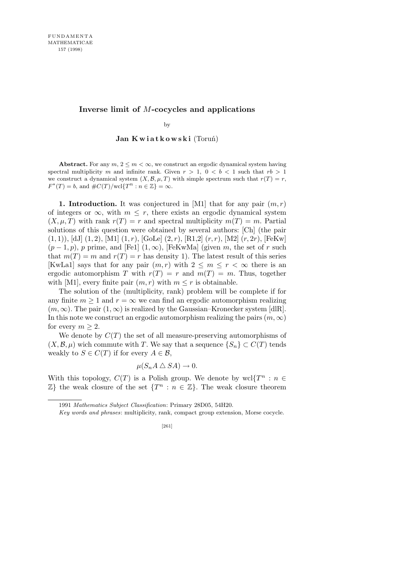## **Inverse limit of** *M***-cocycles and applications**

by

**Jan K w i a t k o w s k i** (Toruń)

Abstract. For any  $m, 2 \leq m < \infty$ , we construct an ergodic dynamical system having spectral multiplicity *m* and infinite rank. Given  $r > 1$ ,  $0 < b < 1$  such that  $rb > 1$ we construct a dynamical system  $(X, \mathcal{B}, \mu, T)$  with simple spectrum such that  $r(T) = r$ ,  $F^*(T) = b$ , and  $\#C(T)/\text{wcl}\{T^n : n \in \mathbb{Z}\} = \infty$ .

**1. Introduction.** It was conjectured in [M1] that for any pair  $(m, r)$ of integers or  $\infty$ , with  $m \leq r$ , there exists an ergodic dynamical system  $(X, \mu, T)$  with rank  $r(T) = r$  and spectral multiplicity  $m(T) = m$ . Partial solutions of this question were obtained by several authors: [Ch] (the pair (1*,* 1)), [dJ] (1*,* 2), [M1] (1*, r*), [GoLe] (2*, r*), [R1,2] (*r, r*), [M2] (*r,* 2*r*), [FeKw]  $(p-1, p)$ , *p* prime, and [Fe1]  $(1, \infty)$ , [FeKwMa] (given *m*, the set of *r* such that  $m(T) = m$  and  $r(T) = r$  has density 1). The latest result of this series [KwLa1] says that for any pair  $(m, r)$  with  $2 \leq m \leq r < \infty$  there is an ergodic automorphism *T* with  $r(T) = r$  and  $m(T) = m$ . Thus, together with [M1], every finite pair  $(m, r)$  with  $m \leq r$  is obtainable.

The solution of the (multiplicity, rank) problem will be complete if for any finite  $m \geq 1$  and  $r = \infty$  we can find an ergodic automorphism realizing  $(m, \infty)$ . The pair  $(1, \infty)$  is realized by the Gaussian–Kronecker system [dlR]. In this note we construct an ergodic automorphism realizing the pairs  $(m, \infty)$ for every  $m \geq 2$ .

We denote by  $C(T)$  the set of all measure-preserving automorphisms of  $(X, \mathcal{B}, \mu)$  wich commute with *T*. We say that a sequence  $\{S_n\} \subset C(T)$  tends weakly to  $S \in C(T)$  if for every  $A \in \mathcal{B}$ ,

$$
\mu(S_n A \bigtriangleup SA) \to 0.
$$

With this topology,  $C(T)$  is a Polish group. We denote by wcl $\{T^n : n \in \mathbb{R}\}$  $\mathbb{Z}$ } the weak closure of the set  $\{T^n : n \in \mathbb{Z}\}$ . The weak closure theorem

<sup>1991</sup> *Mathematics Subject Classification*: Primary 28D05, 54H20.

*Key words and phrases*: multiplicity, rank, compact group extension, Morse cocycle.

<sup>[261]</sup>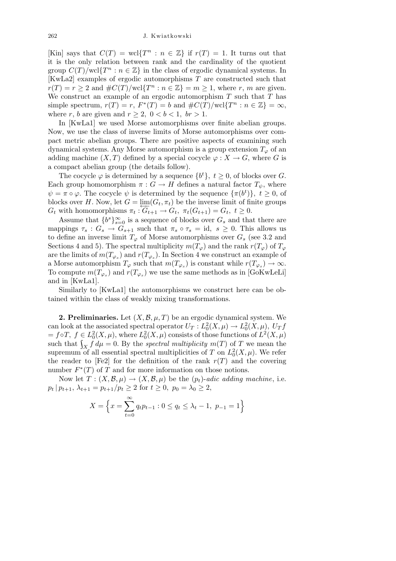[Kin] says that  $C(T) = \text{wcl}\lbrace T^n : n \in \mathbb{Z} \rbrace$  if  $r(T) = 1$ . It turns out that it is the only relation between rank and the cardinality of the quotient group  $C(T)/\text{wcl}\lbrace T^n : n \in \mathbb{Z}\rbrace$  in the class of ergodic dynamical systems. In [KwLa2] examples of ergodic automorphisms *T* are constructed such that  $r(T) = r \geq 2$  and  $\#C(T)/\text{wcl}\lbrace T^n : n \in \mathbb{Z} \rbrace = m \geq 1$ , where *r*, *m* are given. We construct an example of an ergodic automorphism *T* such that *T* has simple spectrum,  $r(T) = r$ ,  $F^*(T) = b$  and  $\#C(T)/\text{wcl}\lbrace T^n : n \in \mathbb{Z} \rbrace = \infty$ , where *r*, *b* are given and  $r \geq 2$ ,  $0 < b < 1$ ,  $br > 1$ .

In [KwLa1] we used Morse automorphisms over finite abelian groups. Now, we use the class of inverse limits of Morse automorphisms over compact metric abelian groups. There are positive aspects of examining such dynamical systems. Any Morse automorphism is a group extension  $T_\varphi$  of an adding machine  $(X, T)$  defined by a special cocycle  $\varphi : X \to G$ , where *G* is a compact abelian group (the details follow).

The cocycle  $\varphi$  is determined by a sequence  $\{b^t\}, t \geq 0$ , of blocks over *G*. Each group homomorphism  $\pi : G \to H$  defines a natural factor  $T_{\psi}$ , where  $\psi = \pi \circ \varphi$ . The cocycle  $\psi$  is determined by the sequence  $\{\pi(b^t)\}, t \geq 0$ , of blocks over *H*. Now, let  $G = \varprojlim(G_t, \pi_t)$  be the inverse limit of finite groups  $G_t$  with homomorphisms  $\pi_t: G_{t+1} \to G_t$ ,  $\pi_t(G_{t+1}) = G_t$ ,  $t \geq 0$ .

Assume that  ${b^s}_{s=0}^{\infty}$  is a sequence of blocks over  $G_s$  and that there are mappings  $\tau_s$ :  $G_s \to G_{s+1}$  such that  $\pi_s \circ \tau_s = id$ ,  $s \geq 0$ . This allows us to define an inverse limit  $T_{\varphi}$  of Morse automorphisms over  $G_s$  (see 3.2 and Sections 4 and 5). The spectral multiplicity  $m(T_{\varphi})$  and the rank  $r(T_{\varphi})$  of  $T_{\varphi}$ are the limits of  $m(T_{\varphi_s})$  and  $r(T_{\varphi_s})$ . In Section 4 we construct an example of a Morse automorphism  $T_{\varphi}$  such that  $m(T_{\varphi_s})$  is constant while  $r(T_{\varphi_s}) \to \infty$ . To compute  $m(T_{\varphi_s})$  and  $r(T_{\varphi_s})$  we use the same methods as in [GoKwLeLi] and in [KwLa1].

Similarly to [KwLa1] the automorphisms we construct here can be obtained within the class of weakly mixing transformations.

**2. Preliminaries.** Let  $(X, \mathcal{B}, \mu, T)$  be an ergodic dynamical system. We can look at the associated spectral operator  $U_T: L_0^2(X, \mu) \to L_0^2(X, \mu)$ ,  $U_T f$  $f \in L_0^2(X, \mu)$ , where  $L_0^2(X, \mu)$  consists of those functions of  $L^2(X, \mu)$ such that  $\int_X f d\mu = 0$ . By the *spectral multiplicity*  $m(T)$  of *T* we mean the supremum of all essential spectral multiplicities of *T* on  $L_0^2(X,\mu)$ . We refer the reader to [Fe2] for the definition of the rank  $r(T)$  and the covering number  $F^*(T)$  of  $\overline{T}$  and for more information on those notions.

Now let  $T: (X, \mathcal{B}, \mu) \to (X, \mathcal{B}, \mu)$  be the  $(p_t)$ -*adic adding machine*, i.e.  $p_t | p_{t+1}, \lambda_{t+1} = p_{t+1}/p_t \geq 2$  for  $t \geq 0, p_0 = \lambda_0 \geq 2$ ,

$$
X = \left\{ x = \sum_{t=0}^{\infty} q_t p_{t-1} : 0 \le q_t \le \lambda_t - 1, \ p_{-1} = 1 \right\}
$$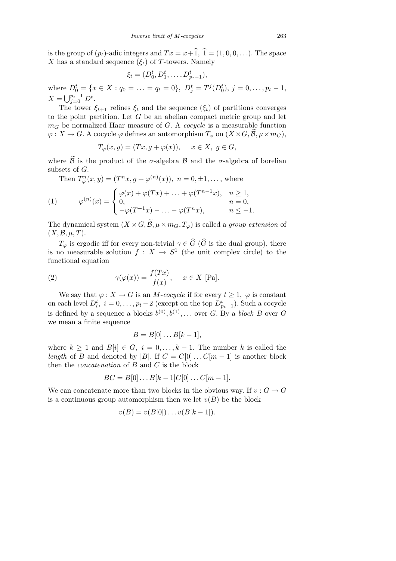is the group of  $(p_t)$ -adic integers and  $Tx = x + \hat{1}$ ,  $\hat{1} = (1, 0, 0, \ldots)$ . The space *X* has a standard sequence  $(\xi_t)$  of *T*-towers. Namely

$$
\xi_t = (D_0^t, D_1^t, \dots, D_{p_t-1}^t),
$$

where  $D_0^t = \{x \in X : q_0 = \ldots = q_t = 0\}, D_j^t = T^j(D_0^t), j = 0, \ldots, p_t - 1,$  $X = \bigcup_{j=0}^{p_t-1} D^t.$ 

The tower  $\xi_{t+1}$  refines  $\xi_t$  and the sequence  $(\xi_t)$  of partitions converges to the point partition. Let *G* be an abelian compact metric group and let  $m_G$  be normalized Haar measure of *G*. A *cocycle* is a measurable function  $\varphi: X \to G$ . A cocycle  $\varphi$  defines an automorphism  $T_{\varphi}$  on  $(X \times G, \mathcal{B}, \mu \times m_G)$ ,

$$
T_{\varphi}(x, y) = (Tx, g + \varphi(x)), \quad x \in X, \ g \in G,
$$

where  $\widetilde{\beta}$  is the product of the *σ*-algebra *B* and the *σ*-algebra of borelian subsets of *G*.

Then 
$$
T_{\varphi}^{n}(x, y) = (T^{n}x, g + \varphi^{(n)}(x)), n = 0, \pm 1, ...,
$$
 where

(1) 
$$
\varphi^{(n)}(x) = \begin{cases} \varphi(x) + \varphi(Tx) + \ldots + \varphi(T^{n-1}x), & n \ge 1, \\ 0, & n = 0, \\ -\varphi(T^{-1}x) - \ldots - \varphi(T^{n}x), & n \le -1. \end{cases}
$$

The dynamical system  $(X \times G, \widetilde{\mathcal{B}}, \mu \times m_G, T_{\varphi})$  is called a *group extension* of  $(X, \mathcal{B}, \mu, T)$ .

*T*<sub> $\varphi$  is ergodic iff for every non-trivial  $\gamma \in \widehat{G}$  ( $\widehat{G}$  is the dual group), there</sub> is no measurable solution  $f: X \to S^1$  (the unit complex circle) to the functional equation

(2) 
$$
\gamma(\varphi(x)) = \frac{f(Tx)}{f(x)}, \quad x \in X \text{ [Pa]}.
$$

We say that  $\varphi: X \to G$  is an *M*-*cocycle* if for every  $t \geq 1$ ,  $\varphi$  is constant on each level  $D_i^t$ ,  $i = 0, \ldots, p_t - 2$  (except on the top  $D_{p_t-1}^t$ ). Such a cocycle is defined by a sequence a blocks  $b^{(0)}, b^{(1)}, \ldots$  over *G*. By a *block B* over *G* we mean a finite sequence

$$
B=B[0]\dots B[k-1],
$$

where  $k \geq 1$  and  $B[i] \in G$ ,  $i = 0, \ldots, k-1$ . The number k is called the *length* of *B* and denoted by *|B|*. If  $C = C[0] \dots C[m-1]$  is another block then the *concatenation* of *B* and *C* is the block

$$
BC = B[0] \dots B[k-1]C[0] \dots C[m-1].
$$

We can concatenate more than two blocks in the obvious way. If  $v : G \to G$ is a continuous group automorphism then we let  $v(B)$  be the block

$$
v(B) = v(B[0]) \dots v(B[k-1]).
$$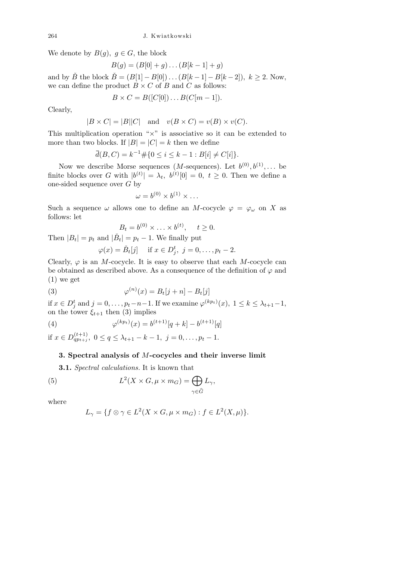We denote by  $B(g)$ ,  $g \in G$ , the block

$$
B(g) = (B[0] + g) \dots (B[k-1] + g)
$$

and by  $\check{B}$  the block  $\check{B} = (B[1] - B[0]) \dots (B[k-1] - B[k-2])$ ,  $k \ge 2$ . Now, we can define the product  $B \times C$  of *B* and *C* as follows:

$$
B \times C = B([C[0]) \dots B(C[m-1]).
$$

Clearly,

$$
|B \times C| = |B||C|
$$
 and  $v(B \times C) = v(B) \times v(C)$ .

This multiplication operation "*×*" is associative so it can be extended to more than two blocks. If  $|B| = |C| = k$  then we define

$$
\bar{d}(B, C) = k^{-1} \# \{ 0 \le i \le k - 1 : B[i] \ne C[i] \}.
$$

Now we describe Morse sequences (*M*-sequences). Let  $b^{(0)}, b^{(1)}, \ldots$  be finite blocks over *G* with  $|b^{(t)}| = \lambda_t$ ,  $b^{(t)}[0] = 0$ ,  $t \geq 0$ . Then we define a one-sided sequence over *G* by

$$
\omega = b^{(0)} \times b^{(1)} \times \dots
$$

Such a sequence  $\omega$  allows one to define an *M*-cocycle  $\varphi = \varphi_{\omega}$  on *X* as follows: let

$$
B_t = b^{(0)} \times \ldots \times b^{(t)}, \quad t \ge 0.
$$

Then  $|B_t| = p_t$  and  $|\check{B}_t| = p_t - 1$ . We finally put

$$
\varphi(x) = \check{B}_t[j] \quad \text{if } x \in D_j^t, \ j = 0, \dots, p_t - 2.
$$

Clearly,  $\varphi$  is an *M*-cocycle. It is easy to observe that each *M*-cocycle can be obtained as described above. As a consequence of the definition of  $\varphi$  and (1) we get

(3) 
$$
\varphi^{(n)}(x) = B_t[j+n] - B_t[j]
$$

if  $x \in D_j^t$  and  $j = 0, \ldots, p_t - n - 1$ . If we examine  $\varphi^{(kp_t)}(x), 1 \leq k \leq \lambda_{t+1} - 1$ , on the tower  $\xi_{t+1}$  then (3) implies

(4) 
$$
\varphi^{(kp_t)}(x) = b^{(t+1)}[q+k] - b^{(t+1)}[q]
$$

if  $x \in D_{qp_{t+j}}^{(t+1)}$ ,  $0 \le q \le \lambda_{t+1} - k - 1$ ,  $j = 0, \ldots, p_t - 1$ .

## **3. Spectral analysis of** *M***-cocycles and their inverse limit**

**3.1.** *Spectral calculations.* It is known that

(5) 
$$
L^{2}(X \times G, \mu \times m_{G}) = \bigoplus_{\gamma \in \widehat{G}} L_{\gamma},
$$

where

$$
L_{\gamma} = \{ f \otimes \gamma \in L^2(X \times G, \mu \times m_G) : f \in L^2(X, \mu) \}.
$$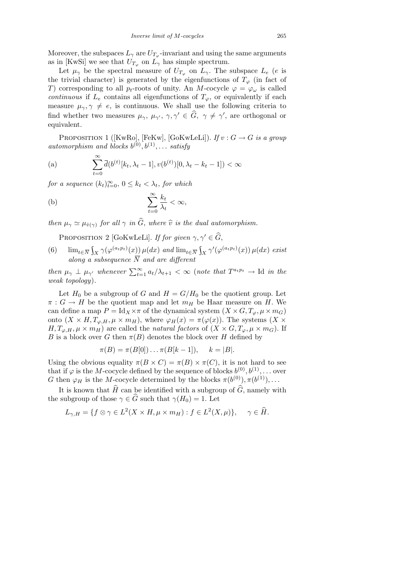Moreover, the subspaces  $L_{\gamma}$  are  $U_{T_{\varphi}}$ -invariant and using the same arguments as in [KwSi] we see that  $U_{T_{\varphi}}$  on  $L_{\gamma}$  has simple spectrum.

Let  $\mu_{\gamma}$  be the spectral measure of  $U_{T_{\varphi}}$  on  $L_{\gamma}$ . The subspace  $L_e$  (*e* is the trivial character) is generated by the eigenfunctions of  $T_\varphi$  (in fact of *T*) corresponding to all  $p_t$ -roots of unity. An *M*-cocycle  $\varphi = \varphi_\omega$  is called *continuous* if  $L_e$  contains all eigenfunctions of  $T_\varphi$ , or equivalently if each measure  $\mu_{\gamma}, \gamma \neq e$ , is continuous. We shall use the following criteria to find whether two measures  $\mu_{\gamma}, \mu_{\gamma'}, \gamma, \gamma' \in \hat{G}, \gamma \neq \gamma'$ , are orthogonal or equivalent.

PROPOSITION 1 ( $[KwRo]$ ,  $[FeKw]$ ,  $[GoKwLeLi]$ ). *If*  $v : G \rightarrow G$  *is a group automorphism and blocks*  $b^{(0)}, b^{(1)}, \ldots$  *satisfy* 

(a) 
$$
\sum_{t=0}^{\infty} \bar{d}(b^{(t)}[k_t, \lambda_t - 1], v(b^{(t)})[0, \lambda_t - k_t - 1]) < \infty
$$

*for a sequence*  $(k_t)_{t=0}^{\infty}$ ,  $0 \leq k_t < \lambda_t$ , *for which* 

(b) 
$$
\sum_{t=0}^{\infty} \frac{k_t}{\lambda_t} < \infty,
$$

*then*  $\mu_{\gamma} \simeq \mu_{\hat{v}(\gamma)}$  *for all*  $\gamma$  *in*  $\widehat{G}$ *, where*  $\widehat{v}$  *is the dual automorphism.* 

PROPOSITION 2 [GoKwLeLi]. *If for given*  $\gamma, \gamma' \in \widehat{G}$ ,

(6)  $\lim_{t\in\overline{N}}\int_X\gamma(\varphi^{(a_t p_t)}(x))\,\mu(dx)$  and  $\lim_{t\in\overline{N}}\int_X\gamma'(\varphi^{(a_t p_t)}(x))\,\mu(dx)$  exist *along a subsequence N and are different*

then  $\mu_{\gamma} \perp \mu_{\gamma'}$  whenever  $\sum_{t=1}^{\infty} a_t/\lambda_{t+1} < \infty$  (note that  $T^{a_t p_t} \to \text{Id}$  in the *weak topology*)*.*

Let  $H_0$  be a subgroup of *G* and  $H = G/H_0$  be the quotient group. Let  $\pi$  :  $G \to H$  be the quotient map and let  $m_H$  be Haar measure on *H*. We can define a map  $P = \text{Id}_X \times \pi$  of the dynamical system  $(X \times G, T_{\varphi}, \mu \times m_G)$ onto  $(X \times H, T_{\varphi,H}, \mu \times m_H)$ , where  $\varphi_H(x) = \pi(\varphi(x))$ . The systems  $(X \times$ *H,*  $T_{\varphi,H}, \mu \times m_H$  are called the *natural factors* of  $(X \times G, T_{\varphi}, \mu \times m_G)$ . If *B* is a block over *G* then  $\pi(B)$  denotes the block over *H* defined by

$$
\pi(B) = \pi(B[0]) \dots \pi(B[k-1]), \quad k = |B|.
$$

Using the obvious equality  $\pi(B \times C) = \pi(B) \times \pi(C)$ , it is not hard to see that if  $\varphi$  is the *M*-cocycle defined by the sequence of blocks  $b^{(0)}, b^{(1)}, \ldots$  over *G* then  $\varphi_H$  is the *M*-cocycle determined by the blocks  $\pi(b^{(0)}), \pi(b^{(1)}), \ldots$ 

It is known that  $\hat{H}$  can be identified with a subgroup of  $\hat{G}$ , namely with the subgroup of those  $\gamma \in \widehat{G}$  such that  $\gamma(H_0) = 1$ . Let

$$
L_{\gamma,H} = \{ f \otimes \gamma \in L^2(X \times H, \mu \times m_H) : f \in L^2(X,\mu) \}, \quad \gamma \in \widehat{H}.
$$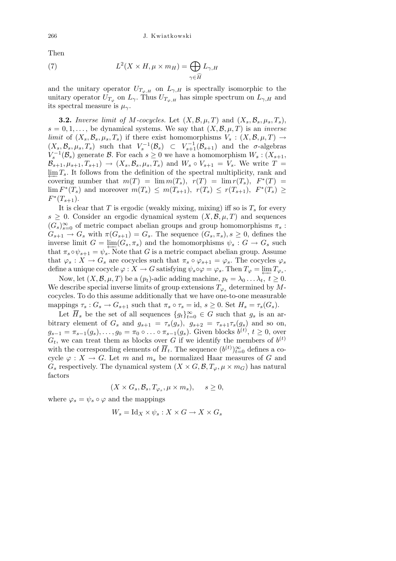Then

(7) 
$$
L^2(X \times H, \mu \times m_H) = \bigoplus_{\gamma \in \widehat{H}} L_{\gamma,H}
$$

and the unitary operator  $U_{T_{\varphi,H}}$  on  $L_{\gamma,H}$  is spectrally isomorphic to the unitary operator  $U_{T_{\varphi}}$  on  $L_{\gamma}$ . Thus  $U_{T_{\varphi,H}}$  has simple spectrum on  $L_{\gamma,H}$  and its spectral measure is  $\mu_{\gamma}$ .

**3.2.** *Inverse limit of M-cocycles.* Let  $(X, \mathcal{B}, \mu, T)$  and  $(X_s, \mathcal{B}_s, \mu_s, T_s)$ ,  $s = 0, 1, \ldots$ , be dynamical systems. We say that  $(X, \mathcal{B}, \mu, T)$  is an *inverse limit* of  $(X_s, \mathcal{B}_s, \mu_s, T_s)$  if there exist homomorphisms  $V_s : (X, \mathcal{B}, \mu, T) \rightarrow$  $(X_s, \mathcal{B}_s, \mu_s, T_s)$  such that  $V_s^{-1}(\mathcal{B}_s) \subset V_{s+1}^{-1}(\mathcal{B}_{s+1})$  and the *σ*-algebras  $V_s^{-1}(\mathcal{B}_s)$  generate  $\mathcal{B}$ . For each  $s \geq 0$  we have a homomorphism  $W_s: (X_{s+1},$  $\mathcal{B}_{s+1}, \mu_{s+1}, T_{s+1}$   $\rightarrow$   $(X_s, \mathcal{B}_s, \mu_s, T_s)$  and  $W_s \circ V_{s+1} = V_s$ . We write  $T =$  $\varprojlim T_s$ . It follows from the definition of the spectral multiplicity, rank and covering number that  $m(T) = \lim m(T_s)$ ,  $r(T) = \lim r(T_s)$ ,  $F^*(T) =$  $\lim F^*(T_s)$  and moreover  $m(T_s) \leq m(T_{s+1}), r(T_s) \leq r(T_{s+1}), F^*(T_s) \geq$  $F^*(T_{s+1})$ .

It is clear that *T* is ergodic (weakly mixing, mixing) iff so is  $T<sub>s</sub>$  for every  $s \geq 0$ . Consider an ergodic dynamical system  $(X, \mathcal{B}, \mu, T)$  and sequences  $(G_s)_{s=0}^{\infty}$  of metric compact abelian groups and group homomorphisms  $\pi_s$ :  $G_{s+1} \to G_s$  with  $\pi(G_{s+1}) = G_s$ . The sequence  $(G_s, \pi_s)$ ,  $s \geq 0$ , defines the inverse limit  $G = \varprojlim(G_s, \pi_s)$  and the homomorphisms  $\psi_s : G \to G_s$  such that  $\pi_s \circ \psi_{s+1} = \psi_s$ . Note that *G* is a metric compact abelian group. Assume that  $\varphi_s : X \to G_s$  are cocycles such that  $\pi_s \circ \varphi_{s+1} = \varphi_s$ . The cocycles  $\varphi_s$ define a unique cocycle  $\varphi : X \to G$  satisfying  $\psi_s \circ \varphi = \varphi_s$ . Then  $T_{\varphi} = \varprojlim T_{\varphi_s}$ .

Now, let  $(X, \mathcal{B}, \mu, T)$  be a  $(p_t)$ -adic adding machine,  $p_t = \lambda_0 \ldots \lambda_t$ ,  $t \geq 0$ . We describe special inverse limits of group extensions  $T_{\varphi}$  determined by  $M$ cocycles. To do this assume additionally that we have one-to-one measurable mappings  $\tau_s$ :  $G_s \to G_{s+1}$  such that  $\pi_s \circ \tau_s = id$ ,  $s \geq 0$ . Set  $H_s = \tau_s(G_s)$ .

Let  $\overline{H}_s$  be the set of all sequences  ${g_t}_{t=0}^{\infty} \in G$  such that  $g_s$  is an arbitrary element of  $G_s$  and  $g_{s+1} = \tau_s(g_s)$ ,  $g_{s+2} = \tau_{s+1}\tau_s(g_s)$  and so on,  $g_{s-1} = \pi_{s-1}(g_s), \ldots, g_0 = \pi_0 \circ \ldots \circ \pi_{s-1}(g_s)$ . Given blocks  $b^{(t)}, t \ge 0$ , over  $G_t$ , we can treat them as blocks over *G* if we identify the members of  $b^{(t)}$ with the corresponding elements of  $\overline{H}_t$ . The sequence  $(b^{(t)})_{t=0}^{\infty}$  defines a cocycle  $\varphi: X \to G$ . Let *m* and  $m_s$  be normalized Haar measures of *G* and *G*<sub>*s*</sub> respectively. The dynamical system (*X*  $\times$  *G*,  $\mathcal{B}$ ,  $T_{\varphi}$ ,  $\mu \times m_G$ ) has natural factors

$$
(X \times G_s, \mathcal{B}_s, T_{\varphi_s}, \mu \times m_s), \quad s \ge 0,
$$

where  $\varphi_s = \psi_s \circ \varphi$  and the mappings

$$
W_s = \text{Id}_X \times \psi_s : X \times G \to X \times G_s
$$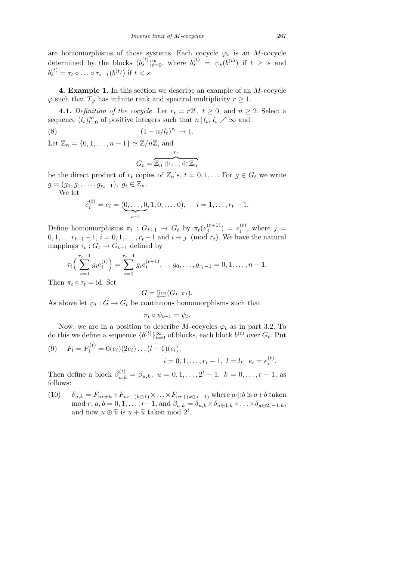are homomorphisms of those systems. Each cocycle  $\varphi_s$  is an *M*-cocycle determined by the blocks  $(b_s^{(t)})_{t=0}^{\infty}$ , where  $b_s^{(t)} = \psi_s(b^{(t)})$  if  $t \geq s$  and  $b_s^{(t)} = \tau_t \circ \ldots \circ \tau_{s-1}(b^{(t)})$  if  $t < s$ .

**4. Example 1.** In this section we describe an example of an *M*-cocycle  $\varphi$  such that  $T_{\varphi}$  has infinite rank and spectral multiplicity  $r \geq 1$ .

**4.1.** *Definition of the cocycle.* Let  $r_t = r2^t$ ,  $t \geq 0$ , and  $n \geq 2$ . Select a sequence  $(l_t)_{t=0}^{\infty}$  of positive integers such that  $n | l_t, l_t \nearrow \infty$  and

(8)  $(1 - n/l_t)^{r_t} \to 1.$ Let  $\mathbb{Z}_n = \{0, 1, \ldots, n-1\} \simeq \mathbb{Z}/n\mathbb{Z}$ , and

$$
G_t = \overbrace{\mathbb{Z}_n \oplus \ldots \oplus \mathbb{Z}_n}^{r_t}
$$

be the direct product of  $r_t$  copies of  $Z_n$ 's,  $t = 0, 1, \ldots$  For  $g \in G_t$  we write  $g = (g_0, g_1, \ldots, g_{r_t-1}), g_i \in \mathbb{Z}_n.$ 

We let

$$
e_i^{(t)} = e_i = (\underbrace{0, \dots, 0}_{i-1}, 1, 0, \dots, 0), \quad i = 1, \dots, r_t - 1.
$$

Define homomorphisms  $\pi_t : G_{t+1} \to G_t$  by  $\pi_t(e_i^{(t+1)})$  $(e^{t+1})$  =  $e^{t}$  $i^{(t)}$ , where  $j =$  $0, 1, \ldots r_{t+1} - 1, i = 0, 1, \ldots, r_t - 1$  and  $i \equiv j \pmod{r_t}$ . We have the natural mappings  $\tau_t$ :  $G_t \to G_{t+1}$  defined by

$$
\tau_t\Big(\sum_{i=0}^{r_t-1} g_i e_i^{(t)}\Big) = \sum_{i=0}^{r_t-1} g_i e_i^{(t+1)}, \quad g_0, \dots, g_{r_t-1} = 0, 1, \dots, n-1.
$$

Then  $\pi_t \circ \tau_t = id$ . Set

$$
G = \underleftarrow{\lim}(G_t, \pi_t).
$$

As above let  $\psi_t : G \to G_t$  be continuous homomorphisms such that

$$
\pi_t \circ \psi_{t+1} = \psi_t.
$$

Now, we are in a position to describe *M*-cocycles  $\varphi_t$  as in part 3.2. To do this we define a sequence  $\{b^{(t)}\}_{t=0}^{\infty}$  of blocks, each block  $b^{(t)}$  over  $G_t$ . Put

(9) 
$$
F_i = F_i^{(t)} = 0(e_i)(2e_i) \dots (l-1)(e_i),
$$
  
\n $i = 0, 1, \dots, r_t - 1, l = l_t, e_i = e_i^{(t)}$ 

Then define a block  $\beta_{u,k}^{(t)} = \beta_{u,k}, u = 0, 1, \ldots, 2^t - 1, k = 0, \ldots, r - 1$ , as follows:

(10)  $\delta_{u,k} = F_{ur+k} \times F_{ur+(k\oplus 1)} \times \ldots \times F_{ur+(k\oplus r-1)}$  where  $a \oplus b$  is  $a+b$  taken mod  $r, a, b = 0, 1, \ldots, r-1$ , and  $\beta_{u,k} = \delta_{u,k} \times \delta_{u \oplus 1,k} \times \ldots \times \delta_{u \oplus 2^t-1,k}$ , and now  $u \oplus \tilde{u}$  is  $u + \tilde{u}$  taken mod  $2^t$ .

*.*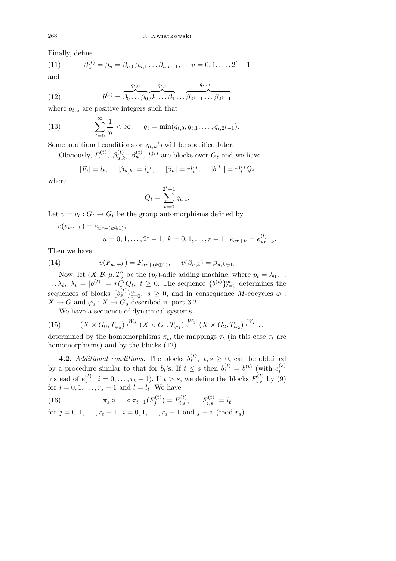Finally, define

(11) 
$$
\beta_u^{(t)} = \beta_u = \beta_{u,0}\beta_{u,1}\dots\beta_{u,r-1}, \quad u = 0, 1, \dots, 2^t - 1
$$
  
and

(12) 
$$
b^{(t)} = \overbrace{\beta_0 \dots \beta_0}^{q_{t,0}} \overbrace{\beta_1 \dots \beta_1}^{q_{t,1}} \dots \overbrace{\beta_{2^t-1} \dots \beta_{2^t-1}}^{q_{t,2^t-1}}
$$

where  $q_{t,u}$  are positive integers such that

(13) 
$$
\sum_{t=0}^{\infty} \frac{1}{q_t} < \infty, \quad q_t = \min(q_{t,0}, q_{t,1}, \dots, q_{t,2^t-1}).
$$

Some additional conditions on  $q_t u$ 's will be specified later.

Obviously,  $F_i^{(t)}$ *i*<sup>(*t*)</sup>,  $\beta_{u,k}^{(t)}$ ,  $\beta_{u}^{(t)}$ ,  $b^{(t)}$  are blocks over  $G_t$  and we have

$$
|F_i| = l_t
$$
,  $|\beta_{u,k}| = l_t^{r_t}$ ,  $|\beta_u| = r l_t^{r_t}$ ,  $|b^{(t)}| = r l_t^{r_t} Q_t$ 

where

$$
Q_t = \sum_{u=0}^{2^t - 1} q_{t,u}.
$$

Let  $v = v_t : G_t \to G_t$  be the group automorphisms defined by

 $v(e_{ur+k}) = e_{ur+(k+1)}$ 

$$
u = 0, 1, \dots, 2t - 1, k = 0, 1, \dots, r - 1, e_{ur+k} = e_{ur+k}^{(t)}.
$$

Then we have

(14) 
$$
v(F_{ur+k}) = F_{ur+(k\oplus 1)}, \quad v(\beta_{u,k}) = \beta_{u,k\oplus 1}.
$$

Now, let  $(X, \mathcal{B}, \mu, T)$  be the  $(p_t)$ -adic adding machine, where  $p_t = \lambda_0 \dots$  $\ldots \lambda_t$ ,  $\lambda_t = |b^{(t)}| = r l_t^{r_t} Q_t$ ,  $t \geq 0$ . The sequence  $\{b^{(t)}\}_{t=0}^{\infty}$  determines the sequences of blocks  ${b_s^{(t)}}_{t=0}^{\infty}$ ,  $s \ge 0$ , and in consequence *M*-cocycles  $\varphi$ :  $X \to G$  and  $\varphi_s : X \to G_s$  described in part 3.2.

We have a sequence of dynamical systems

(15) 
$$
(X \times G_0, T_{\varphi_0}) \stackrel{W_0}{\longleftarrow} (X \times G_1, T_{\varphi_1}) \stackrel{W_1}{\longleftarrow} (X \times G_2, T_{\varphi_2}) \stackrel{W_2}{\longleftarrow} \dots
$$

determined by the homomorphisms  $\pi_t$ , the mappings  $\tau_t$  (in this case  $\tau_t$  are homomorphisms) and by the blocks (12).

**4.2.** *Additional conditions.* The blocks  $b_s^{(t)}$ ,  $t, s \geq 0$ , can be obtained by a procedure similar to that for  $b_t$ 's. If  $t \leq s$  then  $b_s^{(t)} = b^{(t)}$  (with  $e_i^{(s)}$ ) *i* instead of  $e_i^{(t)}$  $f_i^{(t)}$ ,  $i = 0, \ldots, r_t - 1$ ). If  $t > s$ , we define the blocks  $F_{i,s}^{(t)}$  by (9) for  $i = 0, 1, \ldots, r_s - 1$  and  $l = l_t$ . We have

(16) 
$$
\pi_s \circ \ldots \circ \pi_{t-1}(F_j^{(t)}) = F_{i,s}^{(t)}, \quad |F_{i,s}^{(t)}| = l_t
$$

for  $j = 0, 1, \ldots, r_t - 1$ ,  $i = 0, 1, \ldots, r_s - 1$  and  $j \equiv i \pmod{r_s}$ .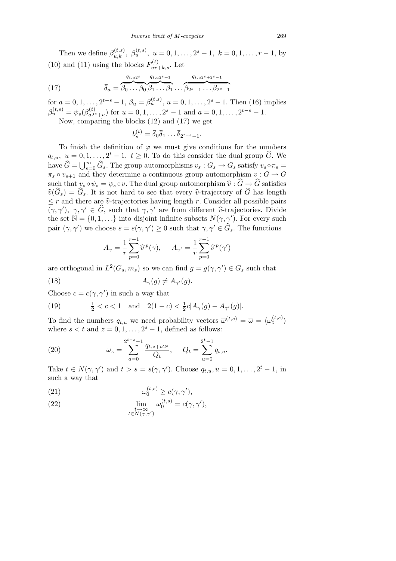Then we define  $\beta_{u,k}^{(t,s)}$ ,  $\beta_{u}^{(t,s)}$ ,  $u = 0, 1, \ldots, 2^s - 1$ ,  $k = 0, 1, \ldots, r - 1$ , by (10) and (11) using the blocks  $F_{ur+k,s}^{(t)}$ . Let

(17) 
$$
\overline{\delta}_a = \overbrace{\beta_0 \dots \beta_0}^{q_{t,a2^s}} \overbrace{\beta_1 \dots \beta_1}^{q_{t,a2^s+1}} \dots \overbrace{\beta_{2^s-1} \dots \beta_{2^s-1}}^{q_{t,a2^s+2^s-1}}
$$

for  $a = 0, 1, \ldots, 2^{t-s} - 1$ ,  $\beta_u = \beta_u^{(t,s)}$ ,  $u = 0, 1, \ldots, 2^s - 1$ . Then (16) implies  $\beta_u^{(t,s)} = \psi_s(\beta_{a2s}^{(t)})$  $a_{2^{s}+u}^{(t)}$  for  $u = 0, 1, \ldots, 2^{s} - 1$  and  $a = 0, 1, \ldots, 2^{t-s} - 1$ .

Now, comparing the blocks (12) and (17) we get

$$
b_s^{(t)} = \overline{\delta}_0 \overline{\delta}_1 \dots \overline{\delta}_{2^{t-s}-1}.
$$

To finish the definition of  $\varphi$  we must give conditions for the numbers  $q_{t,u}, u = 0, 1, \ldots, 2^t - 1, t \geq 0$ . To do this consider the dual group  $\widehat{G}$ . We  $G_{\mathcal{H},u}$ ,  $u = 0,1,...,2$  – 1,  $v \ge 0$ . To do this consider the dual group  $\overline{G}$ . We have  $\widehat{G} = \bigcup_{s=0}^{\infty} \widehat{G}_s$ . The group automorphisms  $v_s : G_s \to G_s$  satisfy  $v_s \circ \pi_s =$  $\pi_s \circ v_{s+1}$  and they determine a continuous group automorphism  $v : G \to G$ such that  $v_s \circ \psi_s = \psi_s \circ v$ . The dual group automorphism  $\hat{v} : \hat{G} \to \hat{G}$  satisfies  $\widehat{v}(\widehat{G}_s) = \widehat{G}_s$ . It is not hard to see that every  $\widehat{v}$ -trajectory of  $\widehat{G}$  has length  $\leq r$  and there are  $\hat{v}$ -trajectories having length *r*. Consider all possible pairs  $(\gamma, \gamma')$ ,  $\gamma, \gamma' \in \hat{G}$ , such that  $\gamma, \gamma'$  are from different  $\hat{v}$ -trajectories. Divide the set  $\mathbb{N} = \{0, 1, \ldots\}$  into disjoint infinite subsets  $N(\gamma, \gamma')$ . For every such pair  $(\gamma, \gamma')$  we choose  $s = s(\gamma, \gamma') \geq 0$  such that  $\gamma, \gamma' \in \widehat{G}_s$ . The functions

$$
A_{\gamma} = \frac{1}{r} \sum_{p=0}^{r-1} \widehat{v}^p(\gamma), \quad A_{\gamma'} = \frac{1}{r} \sum_{p=0}^{r-1} \widehat{v}^p(\gamma')
$$

are orthogonal in  $L^2(G_s, m_s)$  so we can find  $g = g(\gamma, \gamma') \in G_s$  such that (18)  $A_{\gamma}(q) \neq A_{\gamma'}(q).$ 

Choose  $c = c(\gamma, \gamma')$  in such a way that

(19) 
$$
\frac{1}{2} < c < 1
$$
 and  $2(1-c) < \frac{1}{2}c|A_{\gamma}(g) - A_{\gamma'}(g)|$ .

To find the numbers  $q_{t,u}$  we need probability vectors  $\overline{\omega}^{(t,s)} = \overline{\omega} = \langle \omega_z^{(t,s)} \rangle$ where  $s < t$  and  $z = 0, 1, \ldots, 2<sup>s</sup> - 1$ , defined as follows:

(20) 
$$
\omega_z = \sum_{a=0}^{2^{t-s}-1} \frac{q_{t,z+a2^s}}{Q_t}, \quad Q_t = \sum_{u=0}^{2^t-1} q_{t,u}.
$$

Take  $t \in N(\gamma, \gamma')$  and  $t > s = s(\gamma, \gamma')$ . Choose  $q_{t,u}, u = 0, 1, \ldots, 2^t - 1$ , in such a way that

(21) 
$$
\omega_0^{(t,s)} \ge c(\gamma, \gamma'),
$$

(22) 
$$
\lim_{\substack{t \to \infty \\ t \in N(\gamma,\gamma')}} \omega_0^{(t,s)} = c(\gamma,\gamma'),
$$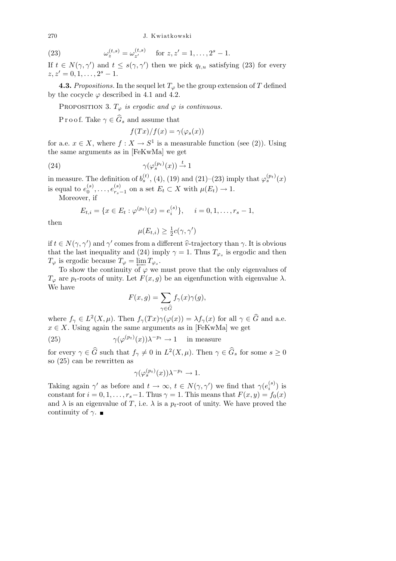$\omega_z^{(t,s)} = \omega_{z'}^{(t,s)}$ (23)  $\omega_z^{(t,s)} = \omega_{z'}^{(t,s)} \text{ for } z, z' = 1, \dots, 2^s - 1.$ 

If  $t \in N(\gamma, \gamma')$  and  $t \leq s(\gamma, \gamma')$  then we pick  $q_{t,u}$  satisfying (23) for every  $z, z' = 0, 1, \ldots, 2^s - 1.$ 

**4.3.** *Propositions.* In the sequel let  $T_{\varphi}$  be the group extension of  $T$  defined by the cocycle  $\varphi$  described in 4.1 and 4.2.

PROPOSITION 3.  $T_{\varphi}$  *is ergodic and*  $\varphi$  *is continuous.* 

P r o o f. Take  $\gamma \in \widehat{G}_s$  and assume that

$$
f(Tx)/f(x) = \gamma(\varphi_s(x))
$$

for a.e.  $x \in X$ , where  $f: X \to S^1$  is a measurable function (see (2)). Using the same arguments as in [FeKwMa] we get

(24) 
$$
\gamma(\varphi_s^{(p_t)}(x)) \stackrel{t}{\rightarrow} 1
$$

in measure. The definition of  $b_s^{(t)}$ , (4), (19) and (21)–(23) imply that  $\varphi_s^{(p_t)}(x)$ is equal to  $e_0^{(s)}$  $e_{r_s}^{(s)}, \ldots, e_{r_s}^{(s)}$  $r_s^{(s)}$  on a set  $E_t$  ⊂ *X* with  $\mu(E_t) \to 1$ .

Moreover, if

$$
E_{t,i} = \{x \in E_t : \varphi^{(p_t)}(x) = e_i^{(s)}\}, \quad i = 0, 1, \dots, r_s - 1,
$$

then

$$
\mu(E_{t,i}) \geq \frac{1}{2}c(\gamma, \gamma')
$$

if  $t \in N(\gamma, \gamma')$  and  $\gamma'$  comes from a different  $\hat{v}$ -trajectory than  $\gamma$ . It is obvious that the last inequality and (24) imply  $\gamma = 1$ . Thus  $T_{\varphi_s}$  is ergodic and then  $T_{\varphi}$  is ergodic because  $T_{\varphi} = \varprojlim_{\epsilon} T_{\varphi_s}.$ 

To show the continuity of  $\varphi$  we must prove that the only eigenvalues of *T*<sup> $\varphi$ </sup> are *p*<sup>*t*</sup>-roots of unity. Let *F*(*x, g*) be an eigenfunction with eigenvalue *λ*. We have

$$
F(x,g) = \sum_{\gamma \in \widehat{G}} f_{\gamma}(x)\gamma(g),
$$

where  $f_{\gamma} \in L^2(X, \mu)$ . Then  $f_{\gamma}(Tx)\gamma(\varphi(x)) = \lambda f_{\gamma}(x)$  for all  $\gamma \in \widehat{G}$  and a.e.  $x \in X$ . Using again the same arguments as in [FeKwMa] we get

(25) 
$$
\gamma(\varphi^{(p_t)}(x))\lambda^{-p_t} \to 1
$$
 in measure

for every  $\gamma \in \widehat{G}$  such that  $f_{\gamma} \neq 0$  in  $L^2(X, \mu)$ . Then  $\gamma \in \widehat{G}_s$  for some  $s \geq 0$ so (25) can be rewritten as

$$
\gamma(\varphi_s^{(p_t)}(x))\lambda^{-p_t} \to 1.
$$

Taking again  $\gamma'$  as before and  $t \to \infty$ ,  $t \in N(\gamma, \gamma')$  we find that  $\gamma(e_i^{(s)})$  $i^{(s)}$ ) is constant for  $i = 0, 1, \ldots, r_s - 1$ . Thus  $\gamma = 1$ . This means that  $F(x, y) = f_0(x)$ and  $\lambda$  is an eigenvalue of *T*, i.e.  $\lambda$  is a  $p_t$ -root of unity. We have proved the continuity of *γ*.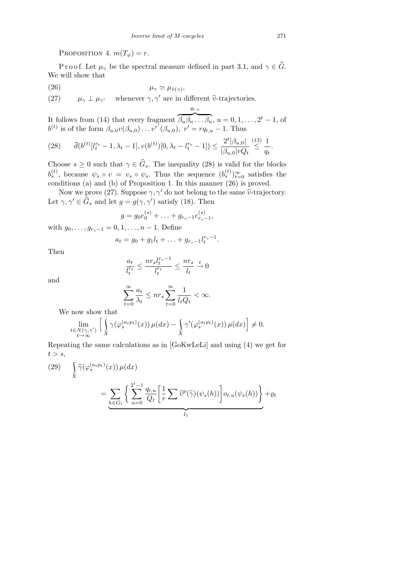PROPOSITION 4.  $m(T_{\varphi}) = r$ .

P r o o f. Let  $\mu_{\gamma}$  be the spectral measure defined in part 3.1, and  $\gamma \in \widehat{G}$ . We will show that

$$
\mu_{\gamma} \simeq \mu_{\hat{v}(\gamma)},
$$

(27)  $\mu_{\gamma} \perp \mu_{\gamma'}$  whenever  $\gamma, \gamma'$  are in different  $\hat{v}$ -trajectories.

It follows from (14) that every fragment  $\overbrace{\phantom{aaaaa}}^{a_{t},u}$  $\beta_u \beta_u \ldots \beta_u, u = 0, 1, \ldots, 2^t - 1$ , of *b*<sup>(*t*)</sup> is of the form  $\beta_{u,0}v(\beta_{u,0})$ *. . . v*<sup>*r*</sup><sup>*(*</sup> $(\beta_{u,0})$ *, r*<sup>*'*</sup> = *rq<sub>t,u</sub>* − 1. Thus

*qt,u*

$$
(28) \qquad \overline{d}(b^{(t)}[l_t^{r_t} - 1, \lambda_t - 1], v(b^{(t)})[0, \lambda_t - l_t^{r_t} - 1]) \le \frac{2^t |\beta_{u,0}|}{|\beta_{u,0}|^r Q_t} \stackrel{(13)}{\le} \frac{1}{q_t}.
$$

Choose  $s \geq 0$  such that  $\gamma \in \widehat{G}_s$ . The inequality (28) is valid for the blocks  $b_s^{(t)}$ , because  $\psi_s \circ v = v_s \circ \psi_s$ . Thus the sequence  $(b_s^{(t)})_{t=0}^{\infty}$  satisfies the conditions (a) and (b) of Proposition 1. In this manner  $(26)$  is proved.

Now we prove (27). Suppose  $\gamma$ ,  $\gamma'$  do not belong to the same  $\hat{v}$ -trajectory. Let  $\gamma, \gamma' \in \hat{G}_s$  and let  $g = g(\gamma, \gamma')$  satisfy (18). Then

$$
g = g_0 e_0^{(s)} + \ldots + g_{r_s - 1} e_{r_s - 1}^{(s)},
$$

with  $g_0, \ldots, g_{r_s-1} = 0, 1, \ldots, n-1$ . Define

$$
a_t = g_0 + g_1 l_t + \ldots + g_{r_s-1} l_t^{r_s-1}.
$$

Then

$$
\frac{a_t}{l_t^{r_t}} \le \frac{n r_s l_t^{r_s - 1}}{l_t^{r_t}} \le \frac{n r_s}{l_t} \xrightarrow{t} 0
$$

and

$$
\sum_{t=0}^{\infty} \frac{a_t}{\lambda_t} \le nr_s \sum_{t=0}^{\infty} \frac{1}{l_t Q_t} < \infty.
$$

We now show that<br> $\lim_{n \to \infty} \int \int \alpha$ 

$$
\lim_{\substack{t \in N(\gamma,\gamma') \\ t \to \infty}} \left[ \int_X \gamma(\varphi_s^{(a_t p_t)}(x)) \, \mu(dx) - \int_X \gamma'(\varphi_s^{(a_t p_t)}(x)) \, \mu(dx) \right] \neq 0.
$$

Repeating the same calculations as in [GoKwLeLi] and using (4) we get for  $t > s$ ,

(29) 
$$
\int_{X} \widetilde{\gamma}(\varphi_s^{(a_t p_t)}(x)) \mu(dx) = \underbrace{\sum_{h \in G_t} \left\{ \sum_{u=0}^{2^t - 1} \frac{q_{t,u}}{Q_t} \left[ \frac{1}{r} \sum \widehat{v}^p(\widetilde{\gamma})(\psi_s(h)) \right] o_{t,u}(\psi_s(h)) \right\}}_{I_1} + \varrho_t
$$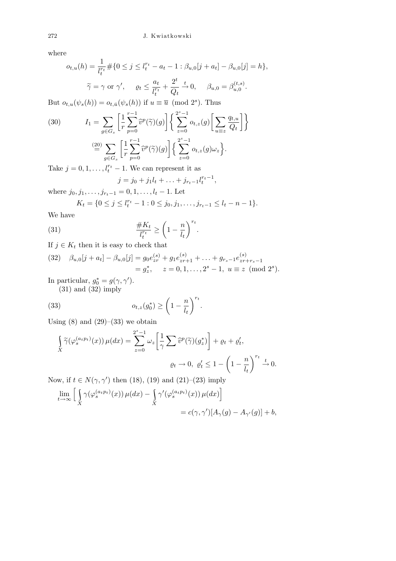where

$$
o_{t,u}(h) = \frac{1}{l_t^{r_t}} \# \{ 0 \le j \le l_t^{r_t} - a_t - 1 : \beta_{u,0}[j + a_t] - \beta_{u,0}[j] = h \},
$$
  

$$
\widetilde{\gamma} = \gamma \text{ or } \gamma', \quad \varrho_t \le \frac{a_t}{l_t^{r_t}} + \frac{2^t}{Q_t} \xrightarrow{t} 0, \quad \beta_{u,0} = \beta_{u,0}^{(t,s)}.
$$

But  $o_{t,u}(\psi_s(h)) = o_{t,\bar{u}}(\psi_s(h))$  if  $u \equiv \bar{u} \pmod{2^s}$ . Thus

(30) 
$$
I_1 = \sum_{g \in G_s} \left[ \frac{1}{r} \sum_{p=0}^{r-1} \widehat{v}^p(\widetilde{\gamma})(g) \right] \left\{ \sum_{z=0}^{2^s - 1} o_{t,z}(g) \left[ \sum_{u \equiv z} \frac{q_{t,u}}{Q_t} \right] \right\}
$$

$$
\stackrel{(20)}{=} \sum_{g \in G_s} \left[ \frac{1}{r} \sum_{p=0}^{r-1} \widehat{v}^p(\widetilde{\gamma})(g) \right] \left\{ \sum_{z=0}^{2^s - 1} o_{t,z}(g) \omega_z \right\}.
$$

Take  $j = 0, 1, \ldots, l_t^{r_t} - 1$ . We can represent it as

$$
j = j_0 + j_1 l_t + \ldots + j_{r_t-1} l_t^{r_t-1},
$$

where  $j_0, j_1, \ldots, j_{r_t-1} = 0, 1, \ldots, l_t - 1$ . Let

$$
K_t = \{0 \le j \le l_t^{r_t} - 1 : 0 \le j_0, j_1, \dots, j_{r_t-1} \le l_t - n - 1\}.
$$

We have

(31) 
$$
\frac{\#K_t}{l_t^{r_t}} \ge \left(1 - \frac{n}{l_t}\right)^{r_t}.
$$

If  $j \in K_t$  then it is easy to check that

(32) 
$$
\beta_{u,0}[j + a_t] - \beta_{u,0}[j] = g_0 e_{zr}^{(s)} + g_1 e_{zr+1}^{(s)} + \ldots + g_{r_s-1} e_{zr+r_s-1}^{(s)}
$$
  
=  $g_z^*$ ,  $z = 0, 1, \ldots, 2^s - 1$ ,  $u \equiv z \pmod{2^s}$ .

 $\sqrt{r_t}$ *.*

In particular,  $g_0^* = g(\gamma, \gamma')$ . (31) and (32) imply

(33) 
$$
o_{t,z}(g_0^*) \ge \left(1 - \frac{n}{l_t}\right)
$$

Using  $(8)$  and  $(29)$ – $(33)$  we obtain

$$
\int_{X} \widetilde{\gamma}(\varphi_s^{(a_t p_t)}(x)) \,\mu(dx) = \sum_{z=0}^{2^s - 1} \omega_z \left[ \frac{1}{\gamma} \sum \widetilde{v}^p(\widetilde{\gamma})(g_z^*) \right] + \varrho_t + \varrho'_t,
$$
\n
$$
\varrho_t \to 0, \ \varrho'_t \le 1 - \left( 1 - \frac{n}{l_t} \right)^{r_t} \xrightarrow{t} 0.
$$

Now, if  $t \in N(\gamma, \gamma')$  then (18), (19) and (21)–(23) imply

$$
\lim_{t \to \infty} \left[ \int_X \gamma(\varphi_s^{(a_t p_t)}(x)) \,\mu(dx) - \int_X \gamma'(\varphi_s^{(a_t p_t)}(x)) \,\mu(dx) \right]
$$
  
=  $c(\gamma, \gamma')[A_\gamma(g) - A_{\gamma'}(g)] + b,$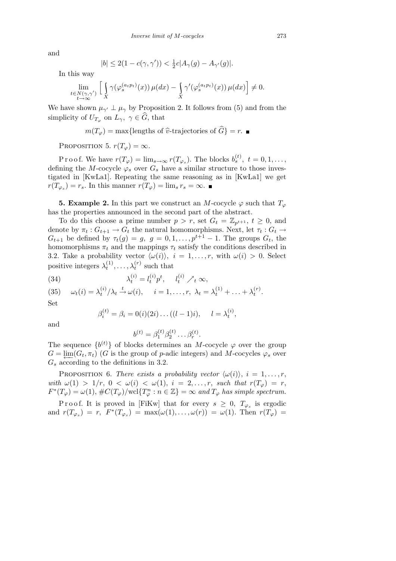and

$$
|b| \le 2(1 - c(\gamma, \gamma')) < \frac{1}{2}c|A_{\gamma}(g) - A_{\gamma'}(g)|.
$$

In this way

$$
\lim_{\substack{t \in N(\gamma,\gamma') \\ t \to \infty}} \left[ \int_X \gamma(\varphi_s^{(a_t p_t)}(x)) \, \mu(dx) - \int_X \gamma'(\varphi_s^{(a_t p_t)}(x)) \, \mu(dx) \right] \neq 0.
$$

We have shown  $\mu_{\gamma'} \perp \mu_{\gamma}$  by Proposition 2. It follows from (5) and from the simplicity of  $U_{T_{\varphi}}$  on  $L_{\gamma}$ ,  $\gamma \in \widehat{G}$ , that

$$
m(T_{\varphi}) = \max{\text{lengths of }\hat{v}\text{-trajectories of }\hat{G}\} = r.
$$

PROPOSITION 5.  $r(T_{\varphi}) = \infty$ .

P r o o f. We have  $r(T_\varphi) = \lim_{s \to \infty} r(T_{\varphi_s})$ . The blocks  $b_s^{(t)}$ ,  $t = 0, 1, \ldots$ , defining the *M*-cocycle  $\varphi_s$  over  $G_s$  have a similar structure to those investigated in [KwLa1]. Repeating the same reasoning as in [KwLa1] we get  $r(T_{\varphi_s}) = r_s$ . In this manner  $r(T_{\varphi}) = \lim_s r_s = \infty$ .

**5. Example 2.** In this part we construct an *M*-cocycle  $\varphi$  such that  $T_{\varphi}$ has the properties announced in the second part of the abstract.

To do this choose a prime number  $p > r$ , set  $G_t = \mathbb{Z}_{p^{t+1}}$ ,  $t \geq 0$ , and denote by  $\pi_t$  :  $G_{t+1} \to G_t$  the natural homomorphisms. Next, let  $\tau_t$  :  $G_t \to$  $G_{t+1}$  be defined by  $\tau_t(g) = g$ ,  $g = 0, 1, \ldots, p^{t+1} - 1$ . The groups  $G_t$ , the homomorphisms  $\pi_t$  and the mappings  $\tau_t$  satisfy the conditions described in 3.2. Take a probability vector  $\langle \omega(i) \rangle$ ,  $i = 1, \ldots, r$ , with  $\omega(i) > 0$ . Select positive integers  $\lambda_t^{(1)}$  $\lambda_t^{(1)}, \ldots, \lambda_t^{(r)}$  such that

(34) 
$$
\lambda_t^{(i)} = l_t^{(i)} p^t, \quad l_t^{(i)} \nearrow_t \infty,
$$

 $\omega_t(i) = \lambda_t^{(i)}$  $\frac{f^{(i)}}{t} / \lambda_t \xrightarrow{t} \omega(i), \quad i = 1, \ldots, r, \ \lambda_t = \lambda_t^{(1)} + \ldots + \lambda_t^{(r)}$ (35)  $\omega_t(i) = \lambda_t^{(i)}/\lambda_t \stackrel{\iota}{\rightarrow} \omega(i), \quad i = 1, \ldots, r, \lambda_t = \lambda_t^{(1)} + \ldots + \lambda_t^{(r)}.$ 

Set

$$
\beta_i^{(t)} = \beta_i = 0(i)(2i) \dots ((l-1)i), \quad l = \lambda_i^{(i)},
$$

and

$$
b^{(t)} = \beta_1^{(t)} \beta_2^{(t)} \dots \beta_r^{(t)}.
$$

The sequence  $\{b^{(t)}\}$  of blocks determines an *M*-cocycle  $\varphi$  over the group  $G = \underleftarrow{\lim} (G_t, \pi_t)$  (*G* is the group of *p*-adic integers) and *M*-cocycles  $\varphi_s$  over *G<sup>s</sup>* according to the definitions in 3.2.

PROPOSITION 6. *There exists a probability vector*  $\langle \omega(i) \rangle$ ,  $i = 1, \ldots, r$ , *with*  $\omega(1) > 1/r$ ,  $0 < \omega(i) < \omega(1)$ ,  $i = 2, ..., r$ , *such that*  $r(T_{\varphi}) = r$ ,  $F^*(T_\varphi) = \omega(1), \#C(T_\varphi)/\text{wcl}\{T_\varphi^n : n \in \mathbb{Z}\} = \infty$  and  $T_\varphi$  has simple spectrum.

Proof. It is proved in [FiKw] that for every  $s \geq 0$ ,  $T_{\varphi_s}$  is ergodic and  $r(T_{\varphi_s}) = r$ ,  $F^*(T_{\varphi_s}) = \max(\omega(1), \ldots, \omega(r)) = \omega(1)$ . Then  $r(T_{\varphi}) =$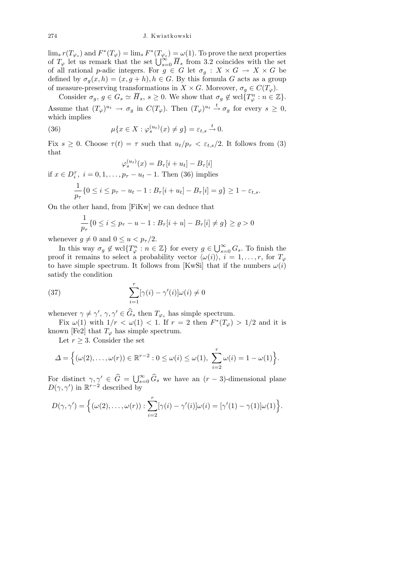$\lim_{s} r(T_{\varphi_s})$  and  $F^*(T_{\varphi}) = \lim_{s} F^*(T_{\varphi_s}) = \omega(1)$ . To prove the next properties of  $T_{\varphi}$  let us remark that the set  $\bigcup_{s=0}^{\infty} \overline{H}_s$  from 3.2 coincides with the set of all rational *p*-adic integers. For  $g \in G$  let  $\sigma_g : X \times G \to X \times G$  be defined by  $\sigma_g(x, h) = (x, g + h), h \in G$ . By this formula *G* acts as a group of measure-preserving transformations in *X* × *G*. Moreover,  $\sigma_g \in C(T_\varphi)$ .

Consider  $\sigma_g$ ,  $g \in G_s \simeq \overline{H}_s$ ,  $s \geq 0$ . We show that  $\sigma_g \notin \text{wcl}\{T_{\varphi}^n : n \in \mathbb{Z}\}.$ Assume that  $(T_{\varphi})^{u_t} \to \sigma_g$  in  $C(T_{\varphi})$ . Then  $(T_{\varphi})^{u_t} \stackrel{t}{\to} \sigma_g$  for every  $s \geq 0$ , which implies

(36) 
$$
\mu\{x \in X : \varphi_s^{(u_t)}(x) \neq g\} = \varepsilon_{t,s} \stackrel{t}{\to} 0.
$$

Fix  $s \geq 0$ . Choose  $\tau(t) = \tau$  such that  $u_t/p_{\tau} < \varepsilon_{t,s}/2$ . It follows from (3) that

$$
\varphi_s^{(u_t)}(x) = B_{\tau}[i + u_t] - B_{\tau}[i]
$$
  
if  $x \in D_i^{\tau}$ ,  $i = 0, 1, ..., p_{\tau} - u_t - 1$ . Then (36) implies  

$$
\frac{1}{p_{\tau}} \{ 0 \le i \le p_{\tau} - u_t - 1 : B_{\tau}[i + u_t] - B_{\tau}[i] = g \} \ge 1 - \varepsilon_{t,s}.
$$

On the other hand, from [FiKw] we can deduce that

$$
\frac{1}{p_{\tau}}\{0 \le i \le p_{\tau} - u - 1 : B_{\tau}[i+u] - B_{\tau}[i] \ne g\} \ge \varrho > 0
$$

whenever  $q \neq 0$  and  $0 \leq u \leq p_\tau/2$ .

In this way  $\sigma_g \notin \text{wcl}\lbrace T^n_{\varphi} : n \in \mathbb{Z} \rbrace$  for every  $g \in \mathbb{Z}$ S*<sup>∞</sup>*  $\sum_{s=0}^{\infty} G_s$ . To finish the proof it remains to select a probability vector  $\langle \omega(i) \rangle$ ,  $i = 1, \ldots, r$ , for  $T_{\varphi}$ to have simple spectrum. It follows from [KwSi] that if the numbers  $\omega(i)$ satisfy the condition

(37) 
$$
\sum_{i=1}^{r} [\gamma(i) - \gamma'(i)] \omega(i) \neq 0
$$

whenever  $\gamma \neq \gamma'$ ,  $\gamma, \gamma' \in \widehat{G}_s$  then  $T_{\varphi_s}$  has simple spectrum.

Fix  $\omega(1)$  with  $1/r < \omega(1) < 1$ . If  $r = 2$  then  $F^*(T_{\varphi}) > 1/2$  and it is known [Fe2] that  $T_{\varphi}$  has simple spectrum.

Let  $r \geq 3$ . Consider the set

$$
\Delta = \Big\{ (\omega(2), \ldots, \omega(r)) \in \mathbb{R}^{r-2} : 0 \leq \omega(i) \leq \omega(1), \sum_{i=2}^r \omega(i) = 1 - \omega(1) \Big\}.
$$

For distinct  $\gamma, \gamma' \in \hat{G} = \bigcup_{s=0}^{\infty} \hat{G}_s$  we have an  $(r-3)$ -dimensional plane  $D(\gamma, \gamma')$  in  $\mathbb{R}^{r-2}$  described by

$$
D(\gamma, \gamma') = \Big\{ (\omega(2), \dots, \omega(r)) : \sum_{i=2}^r [\gamma(i) - \gamma'(i)] \omega(i) = [\gamma'(1) - \gamma(1)] \omega(1) \Big\}.
$$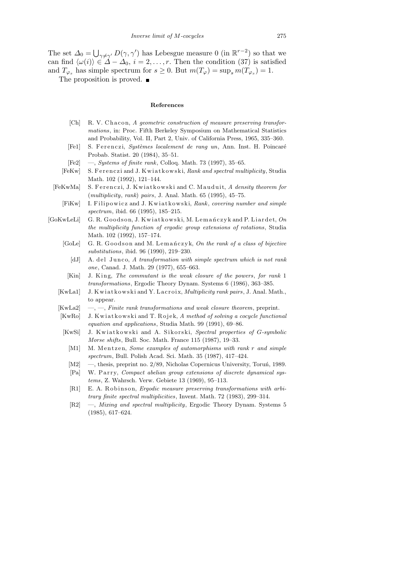The set  $\Delta_0 =$  $\bigcup_{\gamma \neq \gamma'} D(\gamma, \gamma')$  has Lebesgue measure 0 (in  $\mathbb{R}^{r-2}$ ) so that we can find  $\langle \omega(i) \rangle \in \Delta - \Delta_0$ ,  $i = 2, \ldots, r$ . Then the condition (37) is satisfied and  $T_{\varphi_s}$  has simple spectrum for  $s \geq 0$ . But  $m(T_{\varphi}) = \sup_s m(T_{\varphi_s}) = 1$ .

The proposition is proved.  $\blacksquare$ 

## **References**

- [Ch] R. V. Chacon, A geometric construction of measure preserving transfor*mations*, in: Proc. Fifth Berkeley Symposium on Mathematical Statistics and Probability, Vol. II, Part 2, Univ. of California Press, 1965, 335–360.
- [Fe1] S. Ferenczi, *Systèmes localement de rang un*, Ann. Inst. H. Poincaré Probab. Statist. 20 (1984), 35–51.
- [Fe2] —, *Systems of finite rank*, Colloq. Math. 73 (1997), 35–65.
- [FeKw] S. Ferenczi and J. Kwi at kowski, *Rank and spectral multiplicity*, Studia Math. 102 (1992), 121–144.
- [FeKwMa] S. Ferenczi, J. Kwiatkowski and C. Mauduit, *A density theorem for* (*multiplicity*, *rank*) *pairs*, J. Anal. Math. 65 (1995), 45–75.
	- [FiKw] I. Filipowicz and J. Kwiatkowski, *Rank*, *covering number and simple spectrum*, ibid. 66 (1995), 185–215.
- [GoKwLeLi] G. R. Goodson, J. Kwiatkowski, M. Lemańczyk and P. Liardet, On *the multiplicity function of ergodic group extensions of rotations*, Studia Math. 102 (1992), 157–174.
	- [GoLe] G. R. Goodson and M. Lemanczyk, On the rank of a class of bijective *substitutions*, ibid. 96 (1990), 219–230.
		- [dJ] A. del Junco, A transformation with simple spectrum which is not rank *one*, Canad. J. Math. 29 (1977), 655–663.
	- [Kin] J. King, *The commutant is the weak closure of the powers*, *for rank* 1 *transformations*, Ergodic Theory Dynam. Systems 6 (1986), 363–385.
	- [KwLa1] J. Kwi at kowski and Y. Lacroix, *Multiplicity rank pairs*, J. Anal. Math., to appear.
	- [KwLa2] —, —, *Finite rank transformations and weak closure theorem*, preprint.
	- [KwRo] J. Kwiatkowski and T. Rojek, A method of solving a cocycle functional *equation and applications*, Studia Math. 99 (1991), 69–86.
	- [KwSi] J. Kwiatkowski and A. Sikorski, *Spectral properties of G-symbolic Morse shifts*, Bull. Soc. Math. France 115 (1987), 19–33.
		- [M1] M. Mentzen, *Some examples of automorphisms with rank r* and simple *spectrum*, Bull. Polish Acad. Sci. Math. 35 (1987), 417–424.
		- $[M2] \quad -$ , thesis, preprint no. 2/89, Nicholas Copernicus University, Toruń, 1989.
		- [Pa] W. Parry, *Compact abelian group extensions of discrete dynamical systems*, Z. Wahrsch. Verw. Gebiete 13 (1969), 95–113.
		- [R1] E. A. Robinson, *Ergodic measure preserving transformations with arbitrary finite spectral multiplicities*, Invent. Math. 72 (1983), 299–314.
		- [R2] —, *Mixing and spectral multiplicity*, Ergodic Theory Dynam. Systems 5 (1985), 617–624.